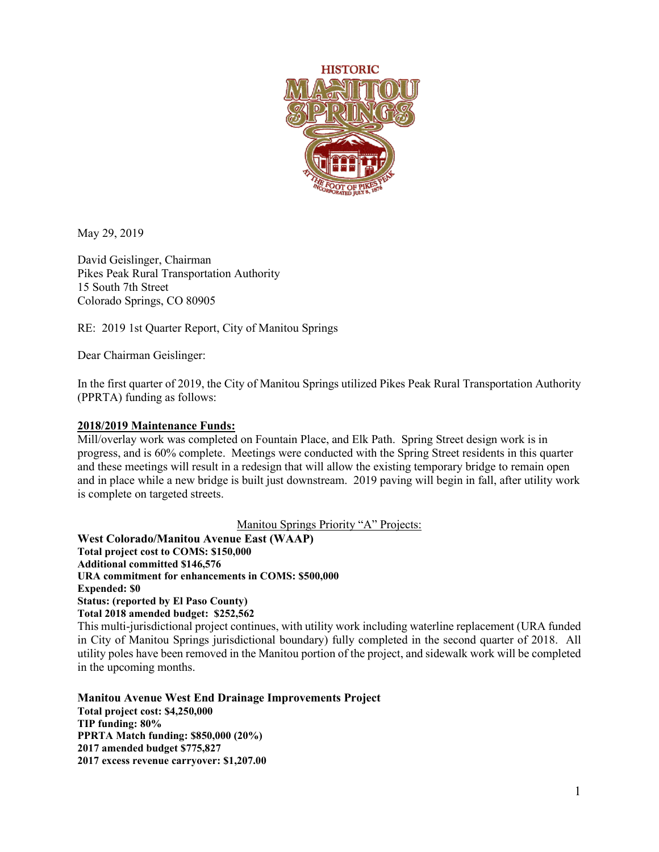

May 29, 2019

David Geislinger, Chairman Pikes Peak Rural Transportation Authority 15 South 7th Street Colorado Springs, CO 80905

RE: 2019 1st Quarter Report, City of Manitou Springs

Dear Chairman Geislinger:

In the first quarter of 2019, the City of Manitou Springs utilized Pikes Peak Rural Transportation Authority (PPRTA) funding as follows:

## **2018/2019 Maintenance Funds:**

Mill/overlay work was completed on Fountain Place, and Elk Path. Spring Street design work is in progress, and is 60% complete. Meetings were conducted with the Spring Street residents in this quarter and these meetings will result in a redesign that will allow the existing temporary bridge to remain open and in place while a new bridge is built just downstream. 2019 paving will begin in fall, after utility work is complete on targeted streets.

Manitou Springs Priority "A" Projects:

**West Colorado/Manitou Avenue East (WAAP) Total project cost to COMS: \$150,000 Additional committed \$146,576 URA commitment for enhancements in COMS: \$500,000 Expended: \$0 Status: (reported by El Paso County) Total 2018 amended budget: \$252,562**

This multi-jurisdictional project continues, with utility work including waterline replacement (URA funded in City of Manitou Springs jurisdictional boundary) fully completed in the second quarter of 2018. All utility poles have been removed in the Manitou portion of the project, and sidewalk work will be completed in the upcoming months.

**Manitou Avenue West End Drainage Improvements Project Total project cost: \$4,250,000 TIP funding: 80% PPRTA Match funding: \$850,000 (20%) 2017 amended budget \$775,827 2017 excess revenue carryover: \$1,207.00**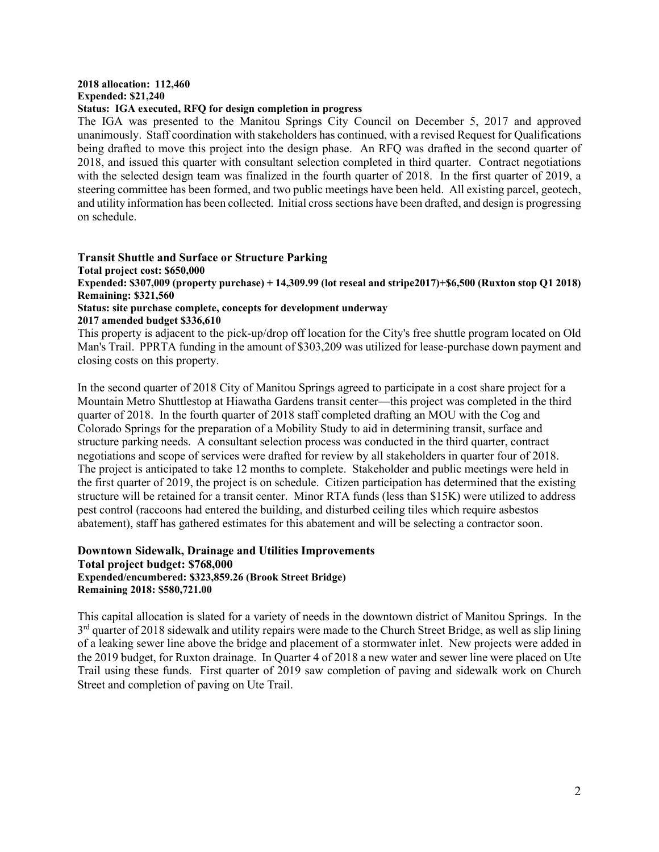## **2018 allocation: 112,460 Expended: \$21,240**

## **Status: IGA executed, RFQ for design completion in progress**

The IGA was presented to the Manitou Springs City Council on December 5, 2017 and approved unanimously. Staff coordination with stakeholders has continued, with a revised Request for Qualifications being drafted to move this project into the design phase. An RFQ was drafted in the second quarter of 2018, and issued this quarter with consultant selection completed in third quarter. Contract negotiations with the selected design team was finalized in the fourth quarter of 2018. In the first quarter of 2019, a steering committee has been formed, and two public meetings have been held. All existing parcel, geotech, and utility information has been collected. Initial cross sections have been drafted, and design is progressing on schedule.

**Transit Shuttle and Surface or Structure Parking Total project cost: \$650,000 Expended: \$307,009 (property purchase) + 14,309.99 (lot reseal and stripe2017)+\$6,500 (Ruxton stop Q1 2018) Remaining: \$321,560 Status: site purchase complete, concepts for development underway 2017 amended budget \$336,610**

This property is adjacent to the pick-up/drop off location for the City's free shuttle program located on Old Man's Trail. PPRTA funding in the amount of \$303,209 was utilized for lease-purchase down payment and closing costs on this property.

In the second quarter of 2018 City of Manitou Springs agreed to participate in a cost share project for a Mountain Metro Shuttlestop at Hiawatha Gardens transit center—this project was completed in the third quarter of 2018. In the fourth quarter of 2018 staff completed drafting an MOU with the Cog and Colorado Springs for the preparation of a Mobility Study to aid in determining transit, surface and structure parking needs. A consultant selection process was conducted in the third quarter, contract negotiations and scope of services were drafted for review by all stakeholders in quarter four of 2018. The project is anticipated to take 12 months to complete. Stakeholder and public meetings were held in the first quarter of 2019, the project is on schedule. Citizen participation has determined that the existing structure will be retained for a transit center. Minor RTA funds (less than \$15K) were utilized to address pest control (raccoons had entered the building, and disturbed ceiling tiles which require asbestos abatement), staff has gathered estimates for this abatement and will be selecting a contractor soon.

## **Downtown Sidewalk, Drainage and Utilities Improvements Total project budget: \$768,000 Expended/encumbered: \$323,859.26 (Brook Street Bridge) Remaining 2018: \$580,721.00**

This capital allocation is slated for a variety of needs in the downtown district of Manitou Springs. In the  $3<sup>rd</sup>$  quarter of 2018 sidewalk and utility repairs were made to the Church Street Bridge, as well as slip lining of a leaking sewer line above the bridge and placement of a stormwater inlet. New projects were added in the 2019 budget, for Ruxton drainage. In Quarter 4 of 2018 a new water and sewer line were placed on Ute Trail using these funds. First quarter of 2019 saw completion of paving and sidewalk work on Church Street and completion of paving on Ute Trail.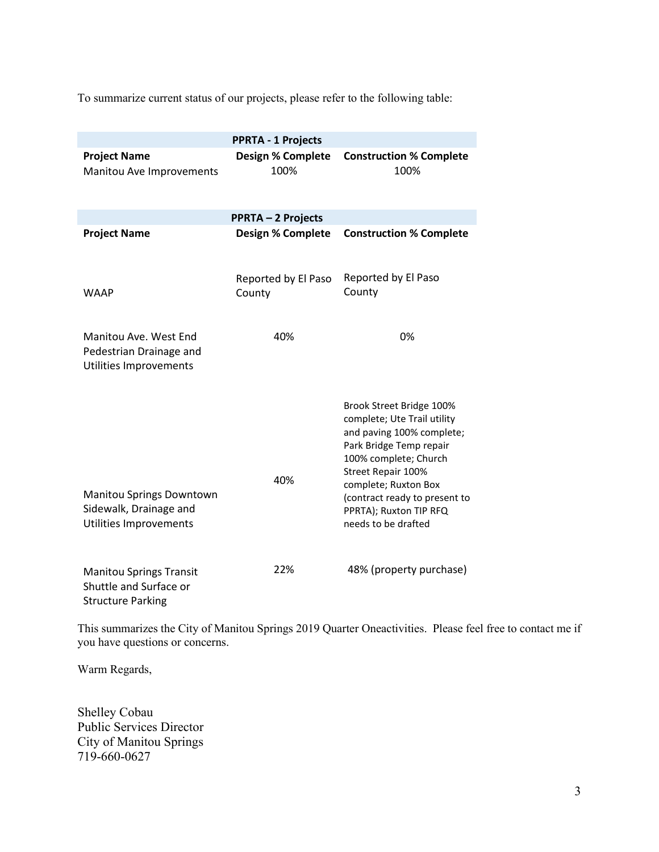To summarize current status of our projects, please refer to the following table:

|                                                                                      | <b>PPRTA - 1 Projects</b>        |                                                                                                                                                                                                                                                                          |
|--------------------------------------------------------------------------------------|----------------------------------|--------------------------------------------------------------------------------------------------------------------------------------------------------------------------------------------------------------------------------------------------------------------------|
| <b>Project Name</b><br>Manitou Ave Improvements                                      | <b>Design % Complete</b><br>100% | <b>Construction % Complete</b><br>100%                                                                                                                                                                                                                                   |
| <b>PPRTA - 2 Projects</b>                                                            |                                  |                                                                                                                                                                                                                                                                          |
| <b>Project Name</b>                                                                  | <b>Design % Complete</b>         | <b>Construction % Complete</b>                                                                                                                                                                                                                                           |
| <b>WAAP</b>                                                                          | Reported by El Paso<br>County    | Reported by El Paso<br>County                                                                                                                                                                                                                                            |
| Manitou Ave. West End<br>Pedestrian Drainage and<br>Utilities Improvements           | 40%                              | 0%                                                                                                                                                                                                                                                                       |
| Manitou Springs Downtown<br>Sidewalk, Drainage and<br>Utilities Improvements         | 40%                              | Brook Street Bridge 100%<br>complete; Ute Trail utility<br>and paving 100% complete;<br>Park Bridge Temp repair<br>100% complete; Church<br>Street Repair 100%<br>complete; Ruxton Box<br>(contract ready to present to<br>PPRTA); Ruxton TIP RFQ<br>needs to be drafted |
| <b>Manitou Springs Transit</b><br>Shuttle and Surface or<br><b>Structure Parking</b> | 22%                              | 48% (property purchase)                                                                                                                                                                                                                                                  |

This summarizes the City of Manitou Springs 2019 Quarter Oneactivities. Please feel free to contact me if you have questions or concerns.

Warm Regards,

Shelley Cobau Public Services Director City of Manitou Springs 719-660-0627